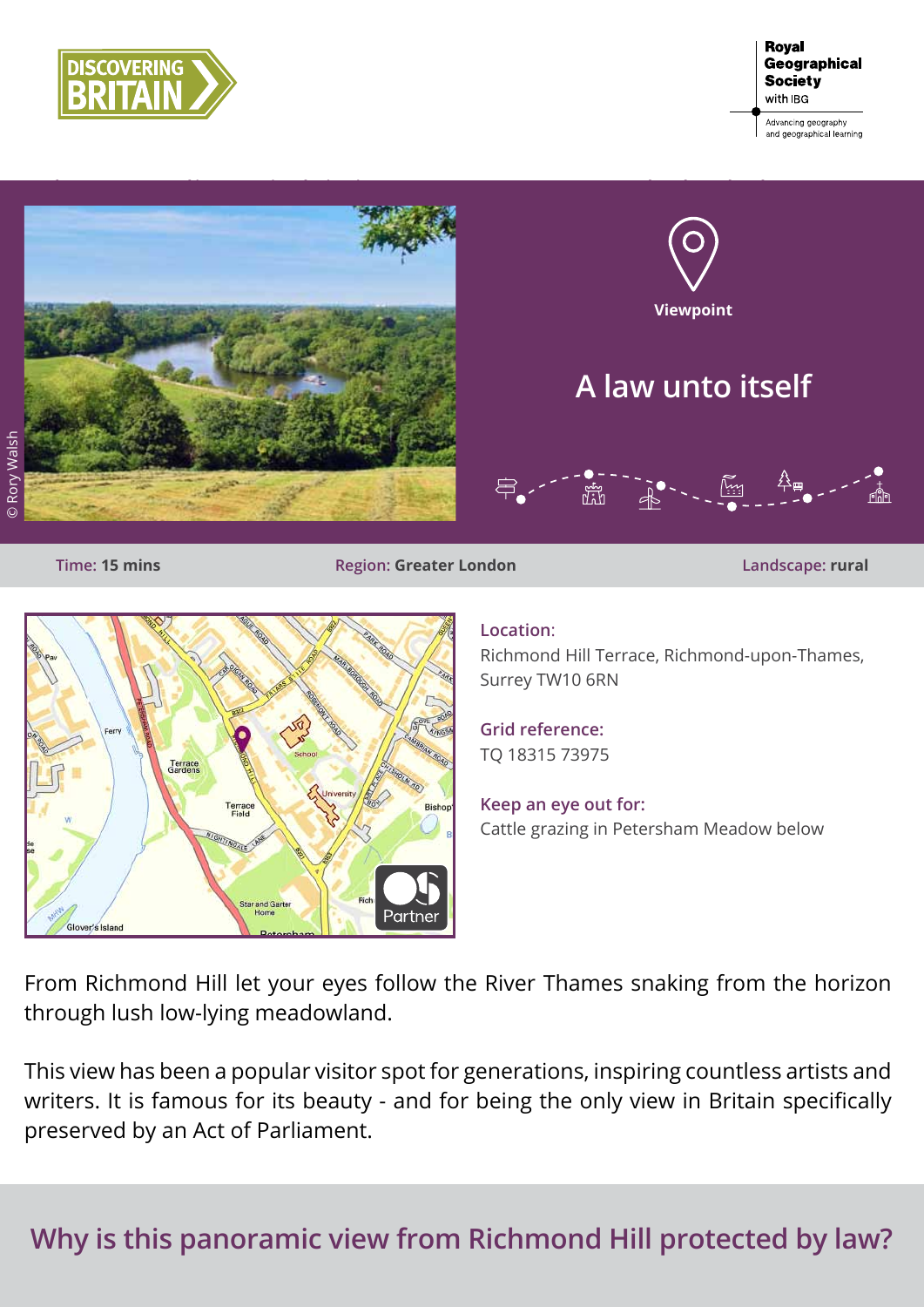



**Time: 15 mins Region: Greater London Landscape: rural**



## **Location**:

Richmond Hill Terrace, Richmond-upon-Thames, Surrey TW10 6RN

**Grid reference:** TQ 18315 73975

**Keep an eye out for:** Cattle grazing in Petersham Meadow below

From Richmond Hill let your eyes follow the River Thames snaking from the horizon through lush low-lying meadowland.

This view has been a popular visitor spot for generations, inspiring countless artists and writers. It is famous for its beauty - and for being the only view in Britain specifically preserved by an Act of Parliament.